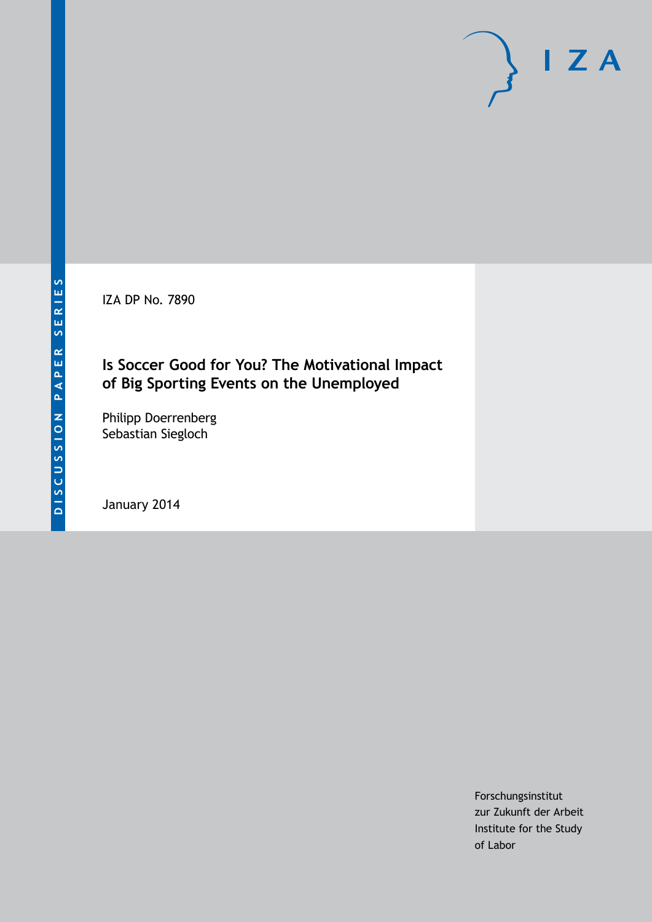IZA DP No. 7890

## **Is Soccer Good for You? The Motivational Impact of Big Sporting Events on the Unemployed**

Philipp Doerrenberg Sebastian Siegloch

January 2014

Forschungsinstitut zur Zukunft der Arbeit Institute for the Study of Labor

 $I Z A$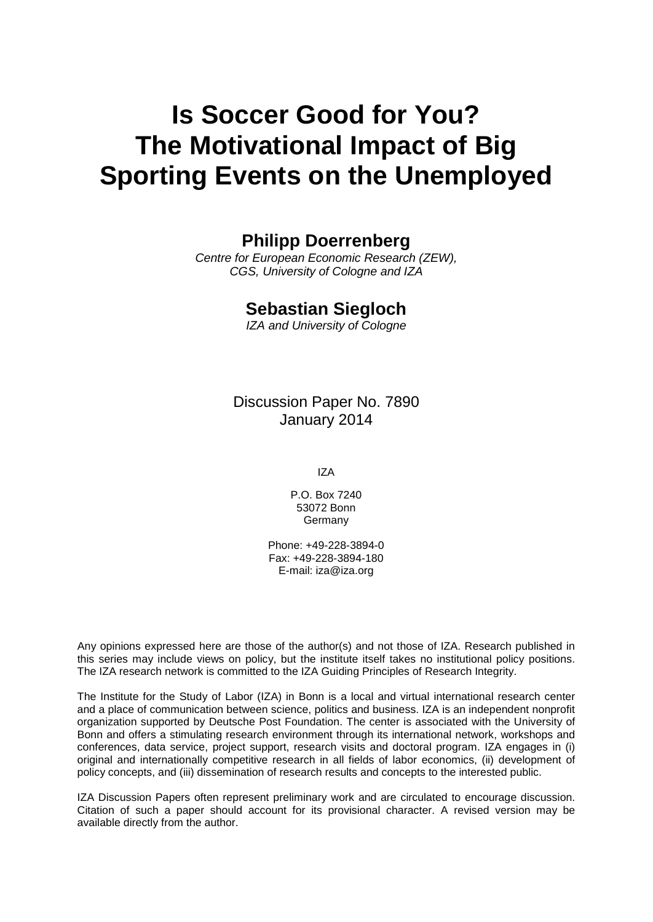# **Is Soccer Good for You? The Motivational Impact of Big Sporting Events on the Unemployed**

### **Philipp Doerrenberg**

*Centre for European Economic Research (ZEW), CGS, University of Cologne and IZA*

#### **Sebastian Siegloch**

*IZA and University of Cologne*

Discussion Paper No. 7890 January 2014

IZA

P.O. Box 7240 53072 Bonn Germany

Phone: +49-228-3894-0 Fax: +49-228-3894-180 E-mail: [iza@iza.org](mailto:iza@iza.org)

Any opinions expressed here are those of the author(s) and not those of IZA. Research published in this series may include views on policy, but the institute itself takes no institutional policy positions. The IZA research network is committed to the IZA Guiding Principles of Research Integrity.

The Institute for the Study of Labor (IZA) in Bonn is a local and virtual international research center and a place of communication between science, politics and business. IZA is an independent nonprofit organization supported by Deutsche Post Foundation. The center is associated with the University of Bonn and offers a stimulating research environment through its international network, workshops and conferences, data service, project support, research visits and doctoral program. IZA engages in (i) original and internationally competitive research in all fields of labor economics, (ii) development of policy concepts, and (iii) dissemination of research results and concepts to the interested public.

IZA Discussion Papers often represent preliminary work and are circulated to encourage discussion. Citation of such a paper should account for its provisional character. A revised version may be available directly from the author.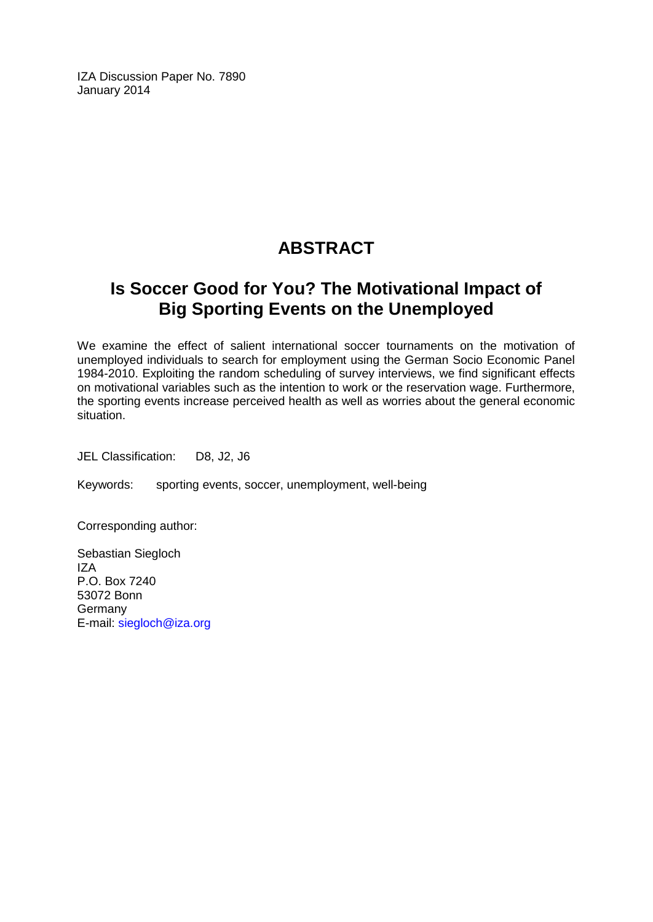IZA Discussion Paper No. 7890 January 2014

## **ABSTRACT**

## **Is Soccer Good for You? The Motivational Impact of Big Sporting Events on the Unemployed**

We examine the effect of salient international soccer tournaments on the motivation of unemployed individuals to search for employment using the German Socio Economic Panel 1984-2010. Exploiting the random scheduling of survey interviews, we find significant effects on motivational variables such as the intention to work or the reservation wage. Furthermore, the sporting events increase perceived health as well as worries about the general economic situation.

JEL Classification: D8, J2, J6

Keywords: sporting events, soccer, unemployment, well-being

Corresponding author:

Sebastian Siegloch IZA P.O. Box 7240 53072 Bonn Germany E-mail: [siegloch@iza.org](mailto:siegloch@iza.org)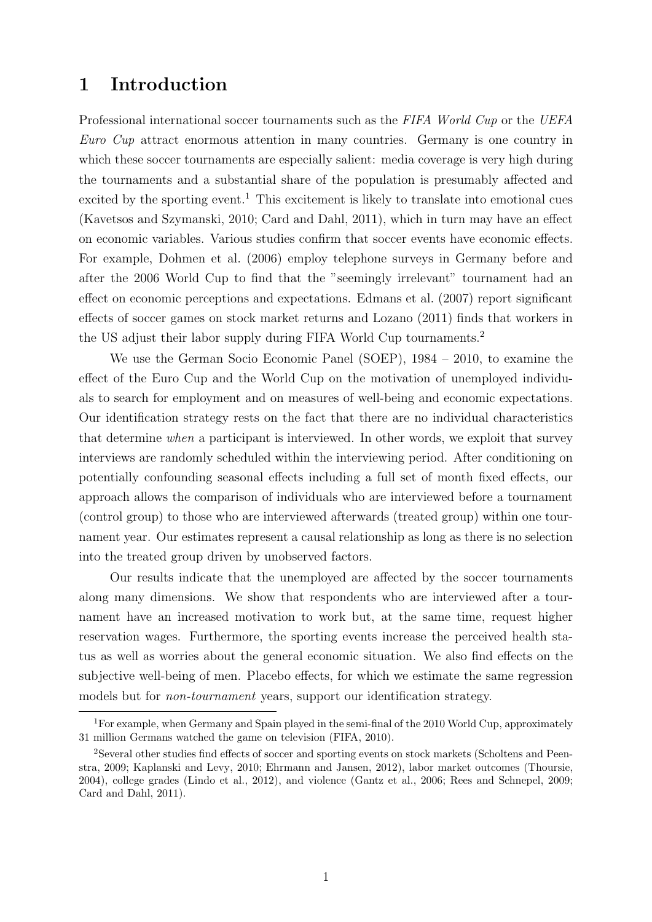## 1 Introduction

Professional international soccer tournaments such as the FIFA World Cup or the UEFA Euro Cup attract enormous attention in many countries. Germany is one country in which these soccer tournaments are especially salient: media coverage is very high during the tournaments and a substantial share of the population is presumably affected and excited by the sporting event.<sup>[1](#page-3-0)</sup> This excitement is likely to translate into emotional cues [\(Kavetsos and Szymanski, 2010;](#page-10-0) [Card and Dahl, 2011\)](#page-10-1), which in turn may have an effect on economic variables. Various studies confirm that soccer events have economic effects. For example, [Dohmen et al.](#page-10-2) [\(2006\)](#page-10-2) employ telephone surveys in Germany before and after the 2006 World Cup to find that the "seemingly irrelevant" tournament had an effect on economic perceptions and expectations. [Edmans et al.](#page-10-3) [\(2007\)](#page-10-3) report significant effects of soccer games on stock market returns and [Lozano](#page-11-0) [\(2011\)](#page-11-0) finds that workers in the US adjust their labor supply during FIFA World Cup tournaments.[2](#page-3-1)

We use the German Socio Economic Panel (SOEP), 1984 – 2010, to examine the effect of the Euro Cup and the World Cup on the motivation of unemployed individuals to search for employment and on measures of well-being and economic expectations. Our identification strategy rests on the fact that there are no individual characteristics that determine when a participant is interviewed. In other words, we exploit that survey interviews are randomly scheduled within the interviewing period. After conditioning on potentially confounding seasonal effects including a full set of month fixed effects, our approach allows the comparison of individuals who are interviewed before a tournament (control group) to those who are interviewed afterwards (treated group) within one tournament year. Our estimates represent a causal relationship as long as there is no selection into the treated group driven by unobserved factors.

Our results indicate that the unemployed are affected by the soccer tournaments along many dimensions. We show that respondents who are interviewed after a tournament have an increased motivation to work but, at the same time, request higher reservation wages. Furthermore, the sporting events increase the perceived health status as well as worries about the general economic situation. We also find effects on the subjective well-being of men. Placebo effects, for which we estimate the same regression models but for non-tournament years, support our identification strategy.

<span id="page-3-0"></span><sup>&</sup>lt;sup>1</sup>For example, when Germany and Spain played in the semi-final of the 2010 World Cup, approximately 31 million Germans watched the game on television [\(FIFA, 2010\)](#page-10-4).

<span id="page-3-1"></span><sup>2</sup>Several other studies find effects of soccer and sporting events on stock markets [\(Scholtens and Peen](#page-11-1)[stra, 2009;](#page-11-1) [Kaplanski and Levy, 2010;](#page-10-5) [Ehrmann and Jansen, 2012\)](#page-10-6), labor market outcomes [\(Thoursie,](#page-11-2) [2004\)](#page-11-2), college grades [\(Lindo et al., 2012\)](#page-10-7), and violence [\(Gantz et al., 2006;](#page-10-8) [Rees and Schnepel, 2009;](#page-11-3) [Card and Dahl, 2011\)](#page-10-1).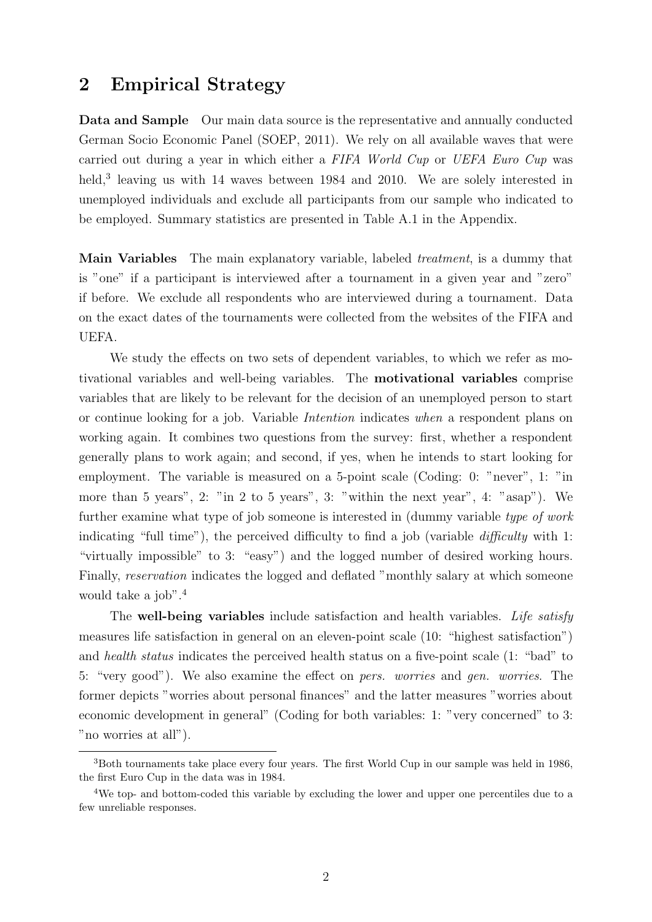### 2 Empirical Strategy

Data and Sample Our main data source is the representative and annually conducted German Socio Economic Panel [\(SOEP, 2011\)](#page-11-4). We rely on all available waves that were carried out during a year in which either a FIFA World Cup or UEFA Euro Cup was held,<sup>[3](#page-4-0)</sup> leaving us with 14 waves between 1984 and 2010. We are solely interested in unemployed individuals and exclude all participants from our sample who indicated to be employed. Summary statistics are presented in Table [A.1](#page-12-0) in the Appendix.

Main Variables The main explanatory variable, labeled *treatment*, is a dummy that is "one" if a participant is interviewed after a tournament in a given year and "zero" if before. We exclude all respondents who are interviewed during a tournament. Data on the exact dates of the tournaments were collected from the websites of the FIFA and UEFA.

We study the effects on two sets of dependent variables, to which we refer as motivational variables and well-being variables. The motivational variables comprise variables that are likely to be relevant for the decision of an unemployed person to start or continue looking for a job. Variable Intention indicates when a respondent plans on working again. It combines two questions from the survey: first, whether a respondent generally plans to work again; and second, if yes, when he intends to start looking for employment. The variable is measured on a 5-point scale (Coding: 0: "never", 1: "in more than 5 years", 2: "in 2 to 5 years", 3: "within the next year", 4: "asap"). We further examine what type of job someone is interested in (dummy variable type of work indicating "full time"), the perceived difficulty to find a job (variable difficulty with 1: "virtually impossible" to 3: "easy") and the logged number of desired working hours. Finally, reservation indicates the logged and deflated "monthly salary at which someone would take a job".<sup>[4](#page-4-1)</sup>

The well-being variables include satisfaction and health variables. Life satisfy measures life satisfaction in general on an eleven-point scale (10: "highest satisfaction") and health status indicates the perceived health status on a five-point scale (1: "bad" to 5: "very good"). We also examine the effect on pers. worries and gen. worries. The former depicts "worries about personal finances" and the latter measures "worries about economic development in general" (Coding for both variables: 1: "very concerned" to 3: "no worries at all").

<span id="page-4-0"></span><sup>3</sup>Both tournaments take place every four years. The first World Cup in our sample was held in 1986, the first Euro Cup in the data was in 1984.

<span id="page-4-1"></span><sup>&</sup>lt;sup>4</sup>We top- and bottom-coded this variable by excluding the lower and upper one percentiles due to a few unreliable responses.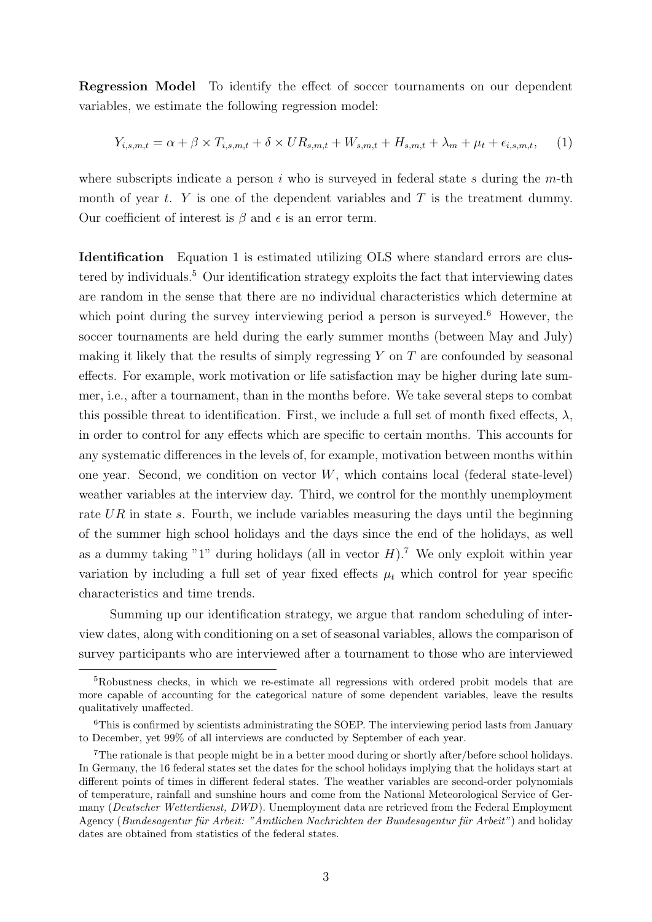Regression Model To identify the effect of soccer tournaments on our dependent variables, we estimate the following regression model:

<span id="page-5-0"></span>
$$
Y_{i,s,m,t} = \alpha + \beta \times T_{i,s,m,t} + \delta \times UR_{s,m,t} + W_{s,m,t} + H_{s,m,t} + \lambda_m + \mu_t + \epsilon_{i,s,m,t}, \quad (1)
$$

where subscripts indicate a person  $i$  who is surveyed in federal state  $s$  during the  $m$ -th month of year t.  $Y$  is one of the dependent variables and  $T$  is the treatment dummy. Our coefficient of interest is  $\beta$  and  $\epsilon$  is an error term.

Identification Equation [1](#page-5-0) is estimated utilizing OLS where standard errors are clus-tered by individuals.<sup>[5](#page-5-1)</sup> Our identification strategy exploits the fact that interviewing dates are random in the sense that there are no individual characteristics which determine at which point during the survey interviewing period a person is surveyed.<sup>[6](#page-5-2)</sup> However, the soccer tournaments are held during the early summer months (between May and July) making it likely that the results of simply regressing  $Y$  on  $T$  are confounded by seasonal effects. For example, work motivation or life satisfaction may be higher during late summer, i.e., after a tournament, than in the months before. We take several steps to combat this possible threat to identification. First, we include a full set of month fixed effects,  $\lambda$ , in order to control for any effects which are specific to certain months. This accounts for any systematic differences in the levels of, for example, motivation between months within one year. Second, we condition on vector  $W$ , which contains local (federal state-level) weather variables at the interview day. Third, we control for the monthly unemployment rate  $UR$  in state s. Fourth, we include variables measuring the days until the beginning of the summer high school holidays and the days since the end of the holidays, as well as a dummy taking "1" during holidays (all in vector  $H$ ).<sup>[7](#page-5-3)</sup> We only exploit within year variation by including a full set of year fixed effects  $\mu_t$  which control for year specific characteristics and time trends.

Summing up our identification strategy, we argue that random scheduling of interview dates, along with conditioning on a set of seasonal variables, allows the comparison of survey participants who are interviewed after a tournament to those who are interviewed

<span id="page-5-1"></span><sup>5</sup>Robustness checks, in which we re-estimate all regressions with ordered probit models that are more capable of accounting for the categorical nature of some dependent variables, leave the results qualitatively unaffected.

<span id="page-5-2"></span><sup>&</sup>lt;sup>6</sup>This is confirmed by scientists administrating the SOEP. The interviewing period lasts from January to December, yet 99% of all interviews are conducted by September of each year.

<span id="page-5-3"></span><sup>&</sup>lt;sup>7</sup>The rationale is that people might be in a better mood during or shortly after/before school holidays. In Germany, the 16 federal states set the dates for the school holidays implying that the holidays start at different points of times in different federal states. The weather variables are second-order polynomials of temperature, rainfall and sunshine hours and come from the National Meteorological Service of Germany (Deutscher Wetterdienst, DWD). Unemployment data are retrieved from the Federal Employment Agency (Bundesagentur für Arbeit: "Amtlichen Nachrichten der Bundesagentur für Arbeit") and holiday dates are obtained from statistics of the federal states.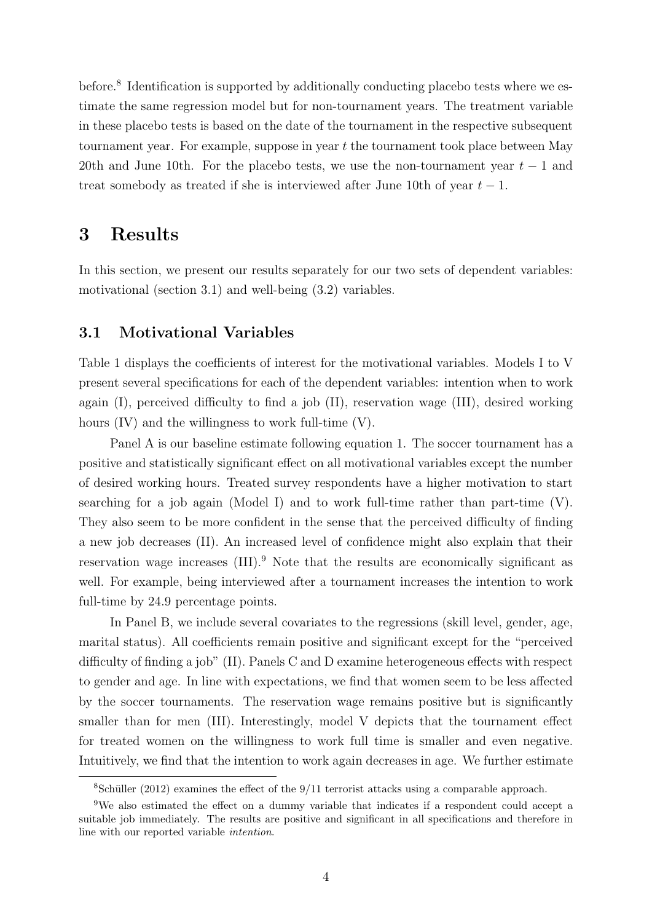before.<sup>[8](#page-6-0)</sup> Identification is supported by additionally conducting placebo tests where we estimate the same regression model but for non-tournament years. The treatment variable in these placebo tests is based on the date of the tournament in the respective subsequent tournament year. For example, suppose in year t the tournament took place between May 20th and June 10th. For the placebo tests, we use the non-tournament year  $t-1$  and treat somebody as treated if she is interviewed after June 10th of year  $t - 1$ .

### 3 Results

In this section, we present our results separately for our two sets of dependent variables: motivational (section [3.1\)](#page-6-1) and well-being [\(3.2\)](#page-8-0) variables.

#### <span id="page-6-1"></span>3.1 Motivational Variables

Table [1](#page-7-0) displays the coefficients of interest for the motivational variables. Models I to V present several specifications for each of the dependent variables: intention when to work again (I), perceived difficulty to find a job (II), reservation wage (III), desired working hours (IV) and the willingness to work full-time (V).

Panel A is our baseline estimate following equation [1.](#page-5-0) The soccer tournament has a positive and statistically significant effect on all motivational variables except the number of desired working hours. Treated survey respondents have a higher motivation to start searching for a job again (Model I) and to work full-time rather than part-time (V). They also seem to be more confident in the sense that the perceived difficulty of finding a new job decreases (II). An increased level of confidence might also explain that their reservation wage increases (III).<sup>[9](#page-6-2)</sup> Note that the results are economically significant as well. For example, being interviewed after a tournament increases the intention to work full-time by 24.9 percentage points.

In Panel B, we include several covariates to the regressions (skill level, gender, age, marital status). All coefficients remain positive and significant except for the "perceived difficulty of finding a job" (II). Panels C and D examine heterogeneous effects with respect to gender and age. In line with expectations, we find that women seem to be less affected by the soccer tournaments. The reservation wage remains positive but is significantly smaller than for men (III). Interestingly, model V depicts that the tournament effect for treated women on the willingness to work full time is smaller and even negative. Intuitively, we find that the intention to work again decreases in age. We further estimate

<span id="page-6-2"></span><span id="page-6-0"></span> $8$ Schüller [\(2012\)](#page-11-5) examines the effect of the 9/11 terrorist attacks using a comparable approach.

<sup>9</sup>We also estimated the effect on a dummy variable that indicates if a respondent could accept a suitable job immediately. The results are positive and significant in all specifications and therefore in line with our reported variable intention.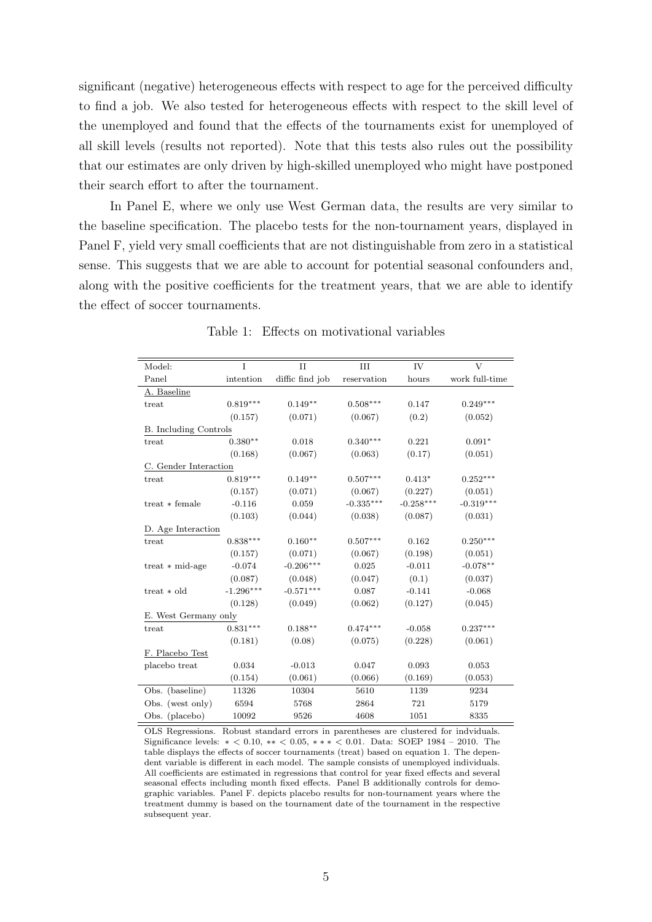significant (negative) heterogeneous effects with respect to age for the perceived difficulty to find a job. We also tested for heterogeneous effects with respect to the skill level of the unemployed and found that the effects of the tournaments exist for unemployed of all skill levels (results not reported). Note that this tests also rules out the possibility that our estimates are only driven by high-skilled unemployed who might have postponed their search effort to after the tournament.

In Panel E, where we only use West German data, the results are very similar to the baseline specification. The placebo tests for the non-tournament years, displayed in Panel F, yield very small coefficients that are not distinguishable from zero in a statistical sense. This suggests that we are able to account for potential seasonal confounders and, along with the positive coefficients for the treatment years, that we are able to identify the effect of soccer tournaments.

<span id="page-7-0"></span>

| Model:                       | T           | $\mathbf{H}$    | III         | IV          | V              |  |  |  |
|------------------------------|-------------|-----------------|-------------|-------------|----------------|--|--|--|
| Panel                        | intention   | diffic find job | reservation | hours       | work full-time |  |  |  |
| A. Baseline                  |             |                 |             |             |                |  |  |  |
| treat                        | $0.819***$  | $0.149**$       | $0.508***$  | 0.147       | $0.249***$     |  |  |  |
|                              | (0.157)     | (0.071)         | (0.067)     | (0.2)       | (0.052)        |  |  |  |
| <b>B.</b> Including Controls |             |                 |             |             |                |  |  |  |
| treat                        | $0.380**$   | 0.018           | $0.340***$  | 0.221       | $0.091*$       |  |  |  |
|                              | (0.168)     | (0.067)         | (0.063)     | (0.17)      | (0.051)        |  |  |  |
| C. Gender Interaction        |             |                 |             |             |                |  |  |  |
| treat                        | $0.819***$  | $0.149**$       | $0.507***$  | $0.413*$    | $0.252***$     |  |  |  |
|                              | (0.157)     | (0.071)         | (0.067)     | (0.227)     | (0.051)        |  |  |  |
| $treat * female$             | $-0.116$    | 0.059           | $-0.335***$ | $-0.258***$ | $-0.319***$    |  |  |  |
|                              | (0.103)     | (0.044)         | (0.038)     | (0.087)     | (0.031)        |  |  |  |
| D. Age Interaction           |             |                 |             |             |                |  |  |  |
| treat                        | $0.838***$  | $0.160**$       | $0.507***$  | 0.162       | $0.250***$     |  |  |  |
|                              | (0.157)     | (0.071)         | (0.067)     | (0.198)     | (0.051)        |  |  |  |
| treat $*$ mid-age            | $-0.074$    | $-0.206***$     | 0.025       | $-0.011$    | $-0.078**$     |  |  |  |
|                              | (0.087)     | (0.048)         | (0.047)     | (0.1)       | (0.037)        |  |  |  |
| treat $*$ old                | $-1.296***$ | $-0.571***$     | 0.087       | $-0.141$    | $-0.068$       |  |  |  |
|                              | (0.128)     | (0.049)         | (0.062)     | (0.127)     | (0.045)        |  |  |  |
| E. West Germany only         |             |                 |             |             |                |  |  |  |
| treat                        | $0.831***$  | $0.188***$      | $0.474***$  | $-0.058$    | $0.237***$     |  |  |  |
|                              | (0.181)     | (0.08)          | (0.075)     | (0.228)     | (0.061)        |  |  |  |
| F. Placebo Test              |             |                 |             |             |                |  |  |  |
| placebo treat                | 0.034       | $-0.013$        | 0.047       | 0.093       | 0.053          |  |  |  |
|                              | (0.154)     | (0.061)         | (0.066)     | (0.169)     | (0.053)        |  |  |  |
| Obs. (baseline)              | 11326       | 10304           | 5610        | 1139        | 9234           |  |  |  |
| Obs. (west only)             | 6594        | 5768            | 2864        | 721         | 5179           |  |  |  |
| Obs. (placebo)               | 10092       | 9526            | 4608        | 1051        | 8335           |  |  |  |

Table 1: Effects on motivational variables

OLS Regressions. Robust standard errors in parentheses are clustered for indviduals. Significance levels: ∗ < 0.10, ∗∗ < 0.05, ∗ ∗ ∗ < 0.01. Data: SOEP 1984 – 2010. The table displays the effects of soccer tournaments (treat) based on equation [1.](#page-5-0) The dependent variable is different in each model. The sample consists of unemployed individuals. All coefficients are estimated in regressions that control for year fixed effects and several seasonal effects including month fixed effects. Panel B additionally controls for demographic variables. Panel F. depicts placebo results for non-tournament years where the treatment dummy is based on the tournament date of the tournament in the respective subsequent year.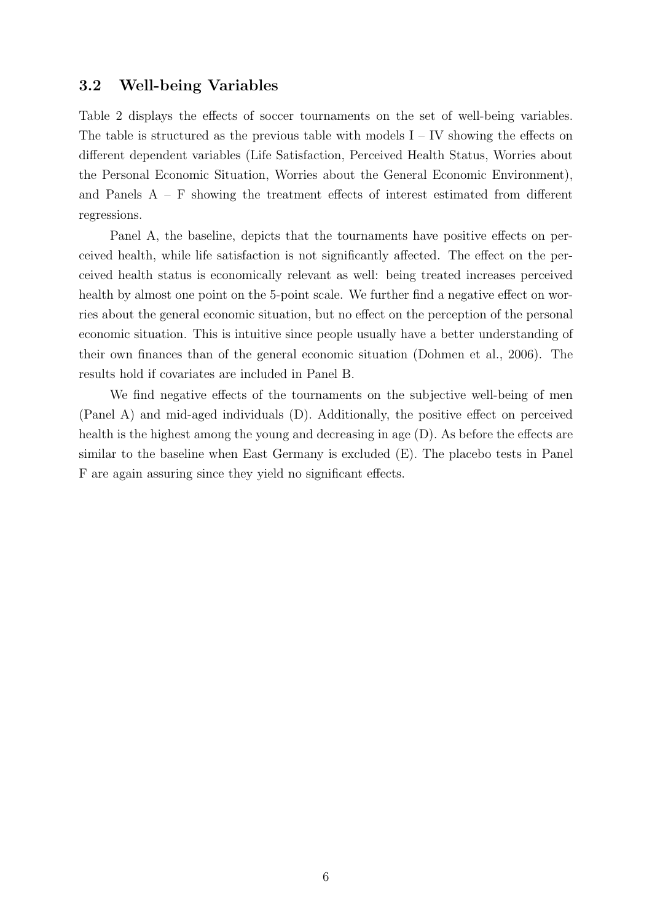#### <span id="page-8-0"></span>3.2 Well-being Variables

Table [2](#page-9-0) displays the effects of soccer tournaments on the set of well-being variables. The table is structured as the previous table with models  $I - IV$  showing the effects on different dependent variables (Life Satisfaction, Perceived Health Status, Worries about the Personal Economic Situation, Worries about the General Economic Environment), and Panels  $A - F$  showing the treatment effects of interest estimated from different regressions.

Panel A, the baseline, depicts that the tournaments have positive effects on perceived health, while life satisfaction is not significantly affected. The effect on the perceived health status is economically relevant as well: being treated increases perceived health by almost one point on the 5-point scale. We further find a negative effect on worries about the general economic situation, but no effect on the perception of the personal economic situation. This is intuitive since people usually have a better understanding of their own finances than of the general economic situation [\(Dohmen et al., 2006\)](#page-10-2). The results hold if covariates are included in Panel B.

We find negative effects of the tournaments on the subjective well-being of men (Panel A) and mid-aged individuals (D). Additionally, the positive effect on perceived health is the highest among the young and decreasing in age  $(D)$ . As before the effects are similar to the baseline when East Germany is excluded (E). The placebo tests in Panel F are again assuring since they yield no significant effects.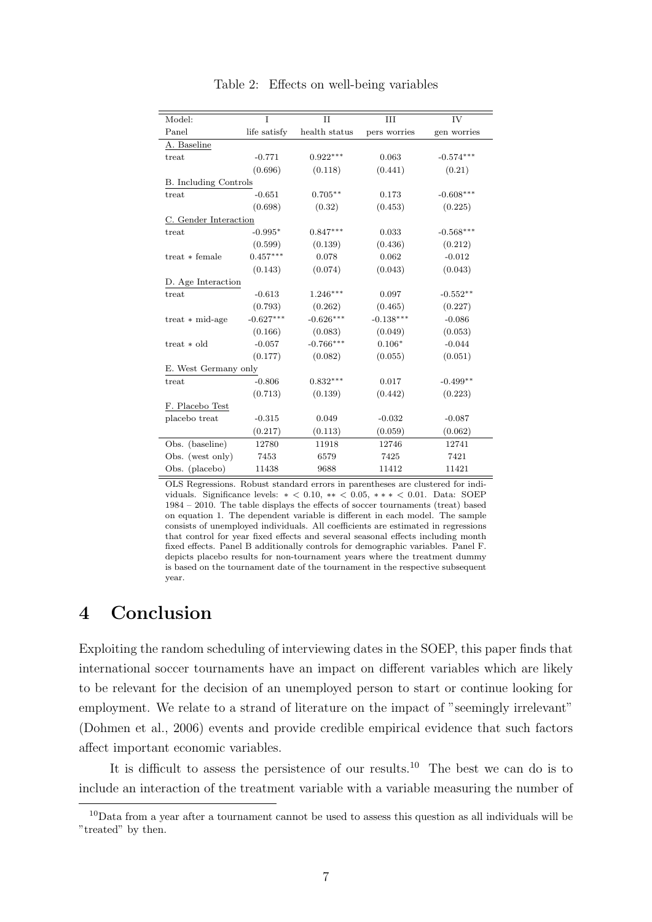<span id="page-9-0"></span>

| Model:                       | T            | $\mathbf{H}$  | III          | IV          |  |
|------------------------------|--------------|---------------|--------------|-------------|--|
| Panel                        | life satisfy | health status | pers worries | gen worries |  |
| A. Baseline                  |              |               |              |             |  |
| treat                        | $-0.771$     | $0.922***$    | 0.063        | $-0.574***$ |  |
|                              | (0.696)      | (0.118)       | (0.441)      | (0.21)      |  |
| <b>B.</b> Including Controls |              |               |              |             |  |
| treat                        | $-0.651$     | $0.705***$    | 0.173        | $-0.608***$ |  |
|                              | (0.698)      | (0.32)        | (0.453)      | (0.225)     |  |
| C. Gender Interaction        |              |               |              |             |  |
| treat                        | $-0.995*$    | $0.847***$    | 0.033        | $-0.568***$ |  |
|                              | (0.599)      | (0.139)       | (0.436)      | (0.212)     |  |
| $treat * female$             | $0.457***$   | 0.078         | 0.062        | $-0.012$    |  |
|                              | (0.143)      | (0.074)       | (0.043)      | (0.043)     |  |
| D. Age Interaction           |              |               |              |             |  |
| treat                        | $-0.613$     | $1.246***$    | 0.097        | $-0.552**$  |  |
|                              | (0.793)      | (0.262)       | (0.465)      | (0.227)     |  |
| treat $*$ mid-age            | $-0.627***$  | $-0.626***$   | $-0.138***$  | $-0.086$    |  |
|                              | (0.166)      | (0.083)       | (0.049)      | (0.053)     |  |
| $treat * old$                | $-0.057$     | $-0.766***$   | $0.106*$     | $-0.044$    |  |
|                              | (0.177)      | (0.082)       | (0.055)      | (0.051)     |  |
| E. West Germany only         |              |               |              |             |  |
| treat                        | $-0.806$     | $0.832***$    | 0.017        | $-0.499**$  |  |
|                              | (0.713)      | (0.139)       | (0.442)      | (0.223)     |  |
| F. Placebo Test              |              |               |              |             |  |
| placebo treat                | $-0.315$     | 0.049         | $-0.032$     | $-0.087$    |  |
|                              | (0.217)      | (0.113)       | (0.059)      | (0.062)     |  |
| Obs. (baseline)              | 12780        | 11918         | 12746        | 12741       |  |
| Obs. (west only)             | 7453         | 6579          | 7425         | 7421        |  |
| Obs. (placebo)               | 11438        | 9688          | 11412        | 11421       |  |

Table 2: Effects on well-being variables

OLS Regressions. Robust standard errors in parentheses are clustered for individuals. Significance levels: ∗ < 0.10, ∗∗ < 0.05, ∗ ∗ ∗ < 0.01. Data: SOEP 1984 – 2010. The table displays the effects of soccer tournaments (treat) based on equation [1.](#page-5-0) The dependent variable is different in each model. The sample consists of unemployed individuals. All coefficients are estimated in regressions that control for year fixed effects and several seasonal effects including month fixed effects. Panel B additionally controls for demographic variables. Panel F. depicts placebo results for non-tournament years where the treatment dummy is based on the tournament date of the tournament in the respective subsequent year.

### 4 Conclusion

Exploiting the random scheduling of interviewing dates in the SOEP, this paper finds that international soccer tournaments have an impact on different variables which are likely to be relevant for the decision of an unemployed person to start or continue looking for employment. We relate to a strand of literature on the impact of "seemingly irrelevant" [\(Dohmen et al., 2006\)](#page-10-2) events and provide credible empirical evidence that such factors affect important economic variables.

It is difficult to assess the persistence of our results.<sup>[10](#page-9-1)</sup> The best we can do is to include an interaction of the treatment variable with a variable measuring the number of

<span id="page-9-1"></span><sup>10</sup>Data from a year after a tournament cannot be used to assess this question as all individuals will be "treated" by then.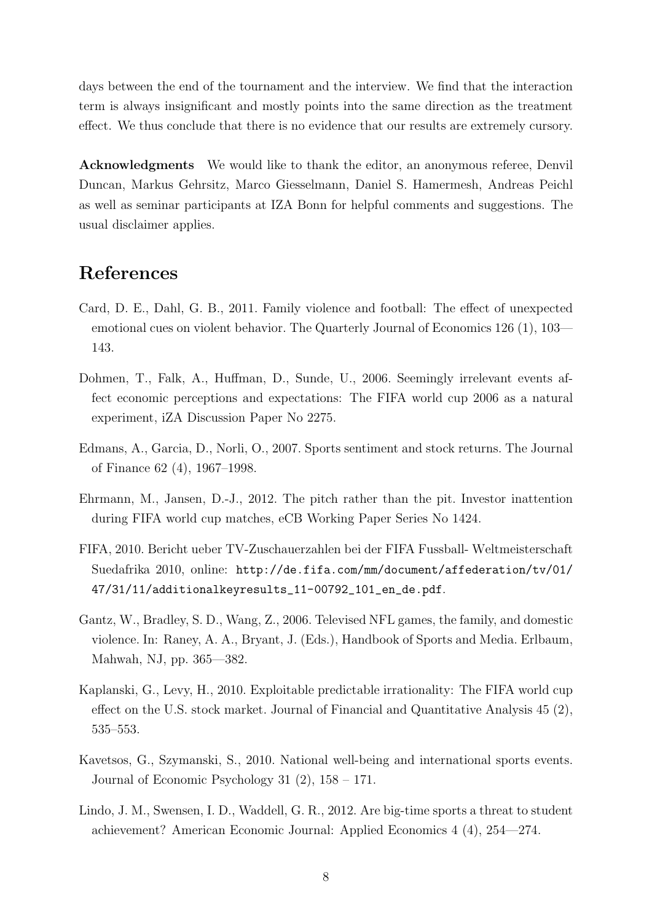days between the end of the tournament and the interview. We find that the interaction term is always insignificant and mostly points into the same direction as the treatment effect. We thus conclude that there is no evidence that our results are extremely cursory.

Acknowledgments We would like to thank the editor, an anonymous referee, Denvil Duncan, Markus Gehrsitz, Marco Giesselmann, Daniel S. Hamermesh, Andreas Peichl as well as seminar participants at IZA Bonn for helpful comments and suggestions. The usual disclaimer applies.

## References

- <span id="page-10-1"></span>Card, D. E., Dahl, G. B., 2011. Family violence and football: The effect of unexpected emotional cues on violent behavior. The Quarterly Journal of Economics 126 (1), 103— 143.
- <span id="page-10-2"></span>Dohmen, T., Falk, A., Huffman, D., Sunde, U., 2006. Seemingly irrelevant events affect economic perceptions and expectations: The FIFA world cup 2006 as a natural experiment, iZA Discussion Paper No 2275.
- <span id="page-10-3"></span>Edmans, A., Garcia, D., Norli, O., 2007. Sports sentiment and stock returns. The Journal of Finance 62 (4), 1967–1998.
- <span id="page-10-6"></span>Ehrmann, M., Jansen, D.-J., 2012. The pitch rather than the pit. Investor inattention during FIFA world cup matches, eCB Working Paper Series No 1424.
- <span id="page-10-4"></span>FIFA, 2010. Bericht ueber TV-Zuschauerzahlen bei der FIFA Fussball- Weltmeisterschaft Suedafrika 2010, online: [http://de.fifa.com/mm/document/affederation/tv/01/](http://de.fifa.com/mm/document/affederation/tv/01/47/31/11/additionalkeyresults_11-00792_101_en_de.pdf) [47/31/11/additionalkeyresults\\_11-00792\\_101\\_en\\_de.pdf](http://de.fifa.com/mm/document/affederation/tv/01/47/31/11/additionalkeyresults_11-00792_101_en_de.pdf).
- <span id="page-10-8"></span>Gantz, W., Bradley, S. D., Wang, Z., 2006. Televised NFL games, the family, and domestic violence. In: Raney, A. A., Bryant, J. (Eds.), Handbook of Sports and Media. Erlbaum, Mahwah, NJ, pp. 365—382.
- <span id="page-10-5"></span>Kaplanski, G., Levy, H., 2010. Exploitable predictable irrationality: The FIFA world cup effect on the U.S. stock market. Journal of Financial and Quantitative Analysis 45 (2), 535–553.
- <span id="page-10-0"></span>Kavetsos, G., Szymanski, S., 2010. National well-being and international sports events. Journal of Economic Psychology 31 (2), 158 – 171.
- <span id="page-10-7"></span>Lindo, J. M., Swensen, I. D., Waddell, G. R., 2012. Are big-time sports a threat to student achievement? American Economic Journal: Applied Economics 4 (4), 254—274.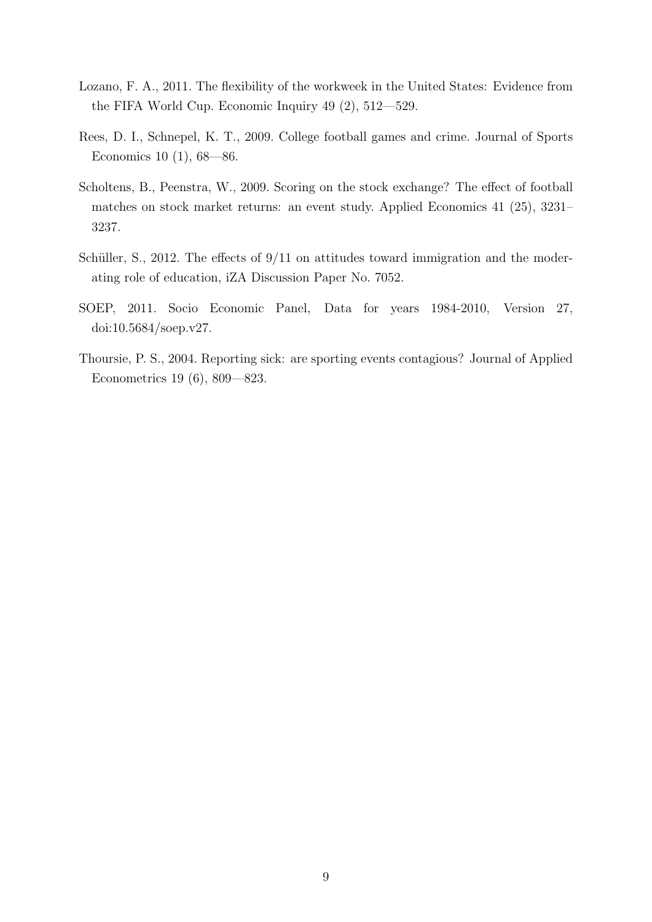- <span id="page-11-0"></span>Lozano, F. A., 2011. The flexibility of the workweek in the United States: Evidence from the FIFA World Cup. Economic Inquiry 49 (2), 512—529.
- <span id="page-11-3"></span>Rees, D. I., Schnepel, K. T., 2009. College football games and crime. Journal of Sports Economics 10 (1), 68—86.
- <span id="page-11-1"></span>Scholtens, B., Peenstra, W., 2009. Scoring on the stock exchange? The effect of football matches on stock market returns: an event study. Applied Economics 41 (25), 3231– 3237.
- <span id="page-11-5"></span>Schüller, S., 2012. The effects of  $9/11$  on attitudes toward immigration and the moderating role of education, iZA Discussion Paper No. 7052.
- <span id="page-11-4"></span>SOEP, 2011. Socio Economic Panel, Data for years 1984-2010, Version 27, doi:10.5684/soep.v27.
- <span id="page-11-2"></span>Thoursie, P. S., 2004. Reporting sick: are sporting events contagious? Journal of Applied Econometrics 19 (6), 809—823.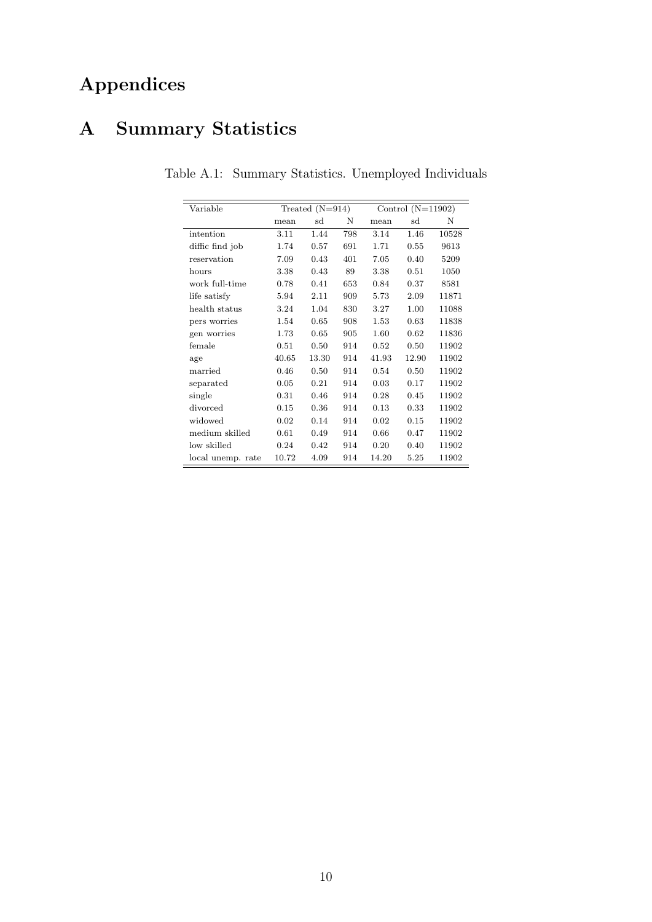## Appendices

## <span id="page-12-0"></span>A Summary Statistics

| Variable          |       | Treated $(N=914)$ |     | Control $(N=11902)$ |       |       |
|-------------------|-------|-------------------|-----|---------------------|-------|-------|
|                   | mean  | sd                | N   | mean                | sd    | N     |
| intention         | 3.11  | 1.44              | 798 | 3.14                | 1.46  | 10528 |
| diffic find job   | 1.74  | 0.57              | 691 | 1.71                | 0.55  | 9613  |
| reservation       | 7.09  | 0.43              | 401 | 7.05                | 0.40  | 5209  |
| hours             | 3.38  | 0.43              | 89  | 3.38                | 0.51  | 1050  |
| work full-time    | 0.78  | 0.41              | 653 | 0.84                | 0.37  | 8581  |
| life satisfy      | 5.94  | 2.11              | 909 | 5.73                | 2.09  | 11871 |
| health status     | 3.24  | 1.04              | 830 | 3.27                | 1.00  | 11088 |
| pers worries      | 1.54  | 0.65              | 908 | 1.53                | 0.63  | 11838 |
| gen worries       | 1.73  | 0.65              | 905 | 1.60                | 0.62  | 11836 |
| female            | 0.51  | 0.50              | 914 | 0.52                | 0.50  | 11902 |
| age               | 40.65 | 13.30             | 914 | 41.93               | 12.90 | 11902 |
| married           | 0.46  | 0.50              | 914 | 0.54                | 0.50  | 11902 |
| separated         | 0.05  | 0.21              | 914 | 0.03                | 0.17  | 11902 |
| single            | 0.31  | 0.46              | 914 | 0.28                | 0.45  | 11902 |
| divorced          | 0.15  | 0.36              | 914 | 0.13                | 0.33  | 11902 |
| widowed           | 0.02  | 0.14              | 914 | 0.02                | 0.15  | 11902 |
| medium skilled    | 0.61  | 0.49              | 914 | 0.66                | 0.47  | 11902 |
| low skilled       | 0.24  | 0.42              | 914 | 0.20                | 0.40  | 11902 |
| local unemp. rate | 10.72 | 4.09              | 914 | 14.20               | 5.25  | 11902 |

Table A.1: Summary Statistics. Unemployed Individuals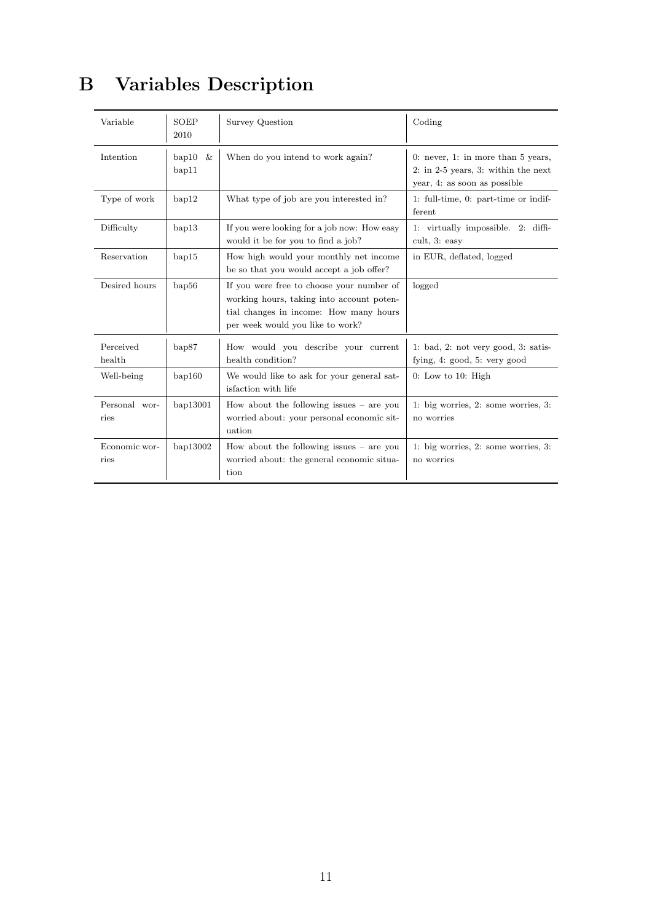## B Variables Description

| Variable              | <b>SOEP</b><br>2010       | Survey Question                                                                                                                                                      | Coding                                                                                                      |
|-----------------------|---------------------------|----------------------------------------------------------------------------------------------------------------------------------------------------------------------|-------------------------------------------------------------------------------------------------------------|
| Intention             | bap10 $\&$<br>$b$ ap $11$ | When do you intend to work again?                                                                                                                                    | 0: never, 1: in more than $5$ years,<br>2: in 2-5 years, 3: within the next<br>year, 4: as soon as possible |
| Type of work          | bap12                     | What type of job are you interested in?                                                                                                                              | 1: full-time, 0: part-time or indif-<br>ferent                                                              |
| Difficulty            | $b$ ap $13$               | If you were looking for a job now: How easy<br>would it be for you to find a job?                                                                                    | 1: virtually impossible. 2: diffi-<br>cult, 3: easy                                                         |
| Reservation           | bap15                     | How high would your monthly net income<br>be so that you would accept a job offer?                                                                                   | in EUR, deflated, logged                                                                                    |
| Desired hours         | bap56                     | If you were free to choose your number of<br>working hours, taking into account poten-<br>tial changes in income: How many hours<br>per week would you like to work? | logged                                                                                                      |
| Perceived<br>health   | bap87                     | How would you describe your current<br>health condition?                                                                                                             | 1: bad, 2: not very good, 3: satis-<br>fying, $4$ : good, $5$ : very good                                   |
| Well-being            | bap160                    | We would like to ask for your general sat-<br>isfaction with life                                                                                                    | $0:$ Low to 10: High                                                                                        |
| Personal wor-<br>ries | bap13001                  | How about the following issues $-$ are you<br>worried about: your personal economic sit-<br>uation                                                                   | 1: big worries, $2$ : some worries, $3$ :<br>no worries                                                     |
| Economic wor-<br>ries | bap13002                  | How about the following issues $-$ are you<br>worried about: the general economic situa-<br>tion                                                                     | 1: big worries, $2$ : some worries, $3$ :<br>no worries                                                     |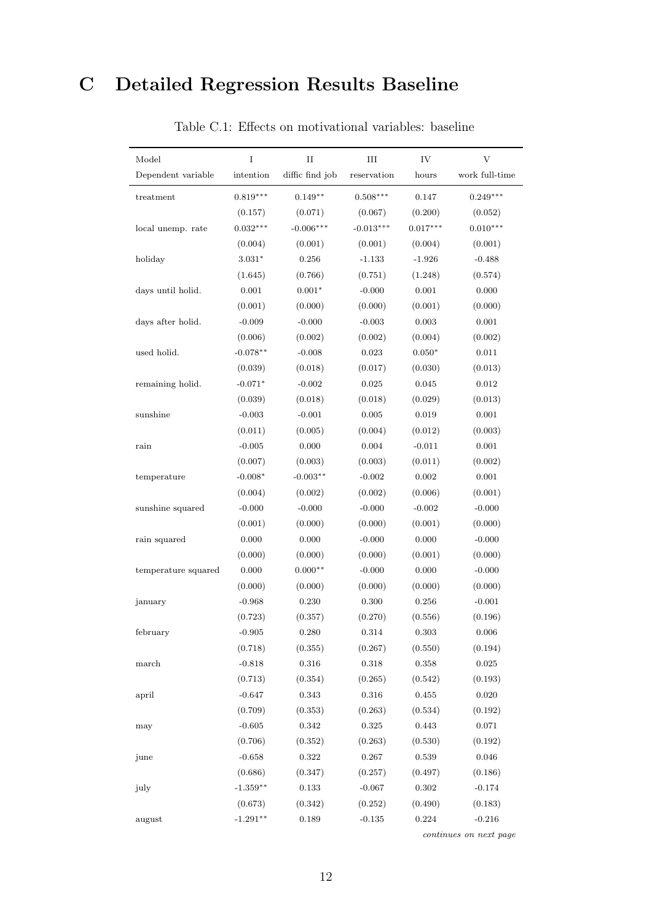## C Detailed Regression Results Baseline

| Dependent variable<br>treatment<br>local unemp. rate<br>holiday<br>days until holid.<br>days after holid.<br>used holid.<br>remaining holid.<br>sunshine<br>rain<br>(0.007)<br>$-0.008*$<br>temperature<br>sunshine squared | $\!$ intention<br>$0.819***$<br>(0.157)<br>$0.032***$<br>(0.004)<br>$3.031*$<br>(1.645) | diffic find job<br>reservation<br>$0.149**$<br>$0.508***$<br>(0.071)<br>(0.067)<br>$-0.006***$<br>$-0.013***$<br>(0.001)<br>(0.001) | hours<br>0.147<br>(0.200)<br>$0.017***$ | work full-time<br>$0.249***$<br>(0.052)<br>$0.010***$ |
|-----------------------------------------------------------------------------------------------------------------------------------------------------------------------------------------------------------------------------|-----------------------------------------------------------------------------------------|-------------------------------------------------------------------------------------------------------------------------------------|-----------------------------------------|-------------------------------------------------------|
|                                                                                                                                                                                                                             |                                                                                         |                                                                                                                                     |                                         |                                                       |
|                                                                                                                                                                                                                             |                                                                                         |                                                                                                                                     |                                         |                                                       |
|                                                                                                                                                                                                                             |                                                                                         |                                                                                                                                     |                                         |                                                       |
|                                                                                                                                                                                                                             |                                                                                         |                                                                                                                                     |                                         |                                                       |
|                                                                                                                                                                                                                             |                                                                                         |                                                                                                                                     | (0.004)                                 | (0.001)                                               |
|                                                                                                                                                                                                                             |                                                                                         | 0.256<br>$-1.133$                                                                                                                   | $-1.926$                                | $-0.488$                                              |
|                                                                                                                                                                                                                             |                                                                                         | (0.766)<br>(0.751)                                                                                                                  | (1.248)                                 | (0.574)                                               |
|                                                                                                                                                                                                                             | 0.001                                                                                   | $0.001*$<br>$-0.000$                                                                                                                | 0.001                                   | 0.000                                                 |
|                                                                                                                                                                                                                             | (0.001)                                                                                 | (0.000)<br>(0.000)                                                                                                                  | (0.001)                                 | (0.000)                                               |
|                                                                                                                                                                                                                             | $-0.009$                                                                                | $-0.000$<br>$-0.003$                                                                                                                | 0.003                                   | $0.001\,$                                             |
|                                                                                                                                                                                                                             | (0.006)                                                                                 | (0.002)<br>(0.002)                                                                                                                  | (0.004)                                 | (0.002)                                               |
|                                                                                                                                                                                                                             | $-0.078**$                                                                              | $-0.008$<br>$\,0.023\,$                                                                                                             | $0.050*$                                | $0.011\,$                                             |
|                                                                                                                                                                                                                             | (0.039)                                                                                 | (0.018)<br>(0.017)                                                                                                                  | (0.030)                                 | (0.013)                                               |
|                                                                                                                                                                                                                             | $-0.071*$                                                                               | $-0.002$<br>0.025                                                                                                                   | 0.045                                   | $\,0.012\,$                                           |
|                                                                                                                                                                                                                             | (0.039)                                                                                 | (0.018)<br>(0.018)                                                                                                                  | (0.029)                                 | (0.013)                                               |
|                                                                                                                                                                                                                             | $-0.003$                                                                                | $-0.001$<br>0.005                                                                                                                   | 0.019                                   | $0.001\,$                                             |
|                                                                                                                                                                                                                             | (0.011)                                                                                 | (0.005)<br>(0.004)                                                                                                                  | (0.012)                                 | (0.003)                                               |
|                                                                                                                                                                                                                             | $-0.005$                                                                                | 0.000<br>0.004                                                                                                                      | $-0.011$                                | $0.001\,$                                             |
|                                                                                                                                                                                                                             |                                                                                         | (0.003)<br>(0.003)                                                                                                                  | (0.011)                                 | (0.002)                                               |
|                                                                                                                                                                                                                             |                                                                                         | $-0.003**$<br>$-0.002$                                                                                                              | 0.002                                   | $0.001\,$                                             |
|                                                                                                                                                                                                                             | (0.004)                                                                                 | (0.002)<br>(0.002)                                                                                                                  | (0.006)                                 | (0.001)                                               |
|                                                                                                                                                                                                                             | $-0.000$                                                                                | $-0.000$<br>$-0.000$                                                                                                                | $-0.002$                                | $-0.000$                                              |
|                                                                                                                                                                                                                             | (0.001)                                                                                 | (0.000)<br>(0.000)                                                                                                                  | (0.001)                                 | (0.000)                                               |
| rain squared                                                                                                                                                                                                                | 0.000                                                                                   | 0.000<br>$-0.000$                                                                                                                   | 0.000                                   | $-0.000$                                              |
|                                                                                                                                                                                                                             | (0.000)                                                                                 | (0.000)<br>(0.000)                                                                                                                  | (0.001)                                 | (0.000)                                               |
| temperature squared                                                                                                                                                                                                         | 0.000                                                                                   | $0.000**$<br>$-0.000$                                                                                                               | 0.000                                   | $-0.000$                                              |
|                                                                                                                                                                                                                             | (0.000)                                                                                 | (0.000)<br>(0.000)                                                                                                                  | (0.000)                                 | (0.000)                                               |
| january                                                                                                                                                                                                                     | $-0.968$                                                                                | 0.230<br>0.300                                                                                                                      | 0.256                                   | $-0.001$                                              |
|                                                                                                                                                                                                                             | (0.723)                                                                                 | (0.357)<br>(0.270)                                                                                                                  | (0.556)                                 | (0.196)                                               |
| february                                                                                                                                                                                                                    | $-0.905$                                                                                | 0.280<br>0.314                                                                                                                      | 0.303                                   | 0.006                                                 |
|                                                                                                                                                                                                                             | (0.718)                                                                                 | (0.355)<br>(0.267)                                                                                                                  | (0.550)                                 | (0.194)                                               |
| $_{\mathrm{march}}$                                                                                                                                                                                                         | $-0.818$                                                                                | 0.316<br>$0.318\,$                                                                                                                  | $\,0.358\,$                             | $\,0.025\,$                                           |
|                                                                                                                                                                                                                             | (0.713)                                                                                 | (0.354)<br>(0.265)                                                                                                                  | (0.542)                                 | (0.193)                                               |
| april                                                                                                                                                                                                                       | $-0.647$                                                                                | 0.343<br>$0.316\,$                                                                                                                  | 0.455                                   | $0.020\,$                                             |
|                                                                                                                                                                                                                             | (0.709)                                                                                 | (0.353)<br>(0.263)                                                                                                                  | (0.534)                                 | (0.192)                                               |
| may                                                                                                                                                                                                                         | $-0.605$                                                                                | 0.342<br>$\,0.325\,$                                                                                                                | 0.443                                   | $0.071\,$                                             |
|                                                                                                                                                                                                                             | (0.706)                                                                                 | (0.352)<br>(0.263)                                                                                                                  | (0.530)                                 | (0.192)                                               |
| june                                                                                                                                                                                                                        | $-0.658$                                                                                | 0.322<br>$0.267\,$                                                                                                                  | $\,0.539\,$                             | $\,0.046\,$                                           |
|                                                                                                                                                                                                                             | (0.686)                                                                                 | (0.347)<br>(0.257)                                                                                                                  | (0.497)                                 | (0.186)                                               |
|                                                                                                                                                                                                                             | $-1.359**$                                                                              | 0.133<br>$-0.067$                                                                                                                   | $0.302\,$                               | $-0.174$                                              |
| july                                                                                                                                                                                                                        |                                                                                         |                                                                                                                                     |                                         | (0.183)                                               |
| (0.673)<br>$-1.291**$<br>august                                                                                                                                                                                             |                                                                                         | (0.342)<br>(0.252)                                                                                                                  | (0.490)                                 |                                                       |

#### Table C.1: Effects on motivational variables: baseline

continues on next page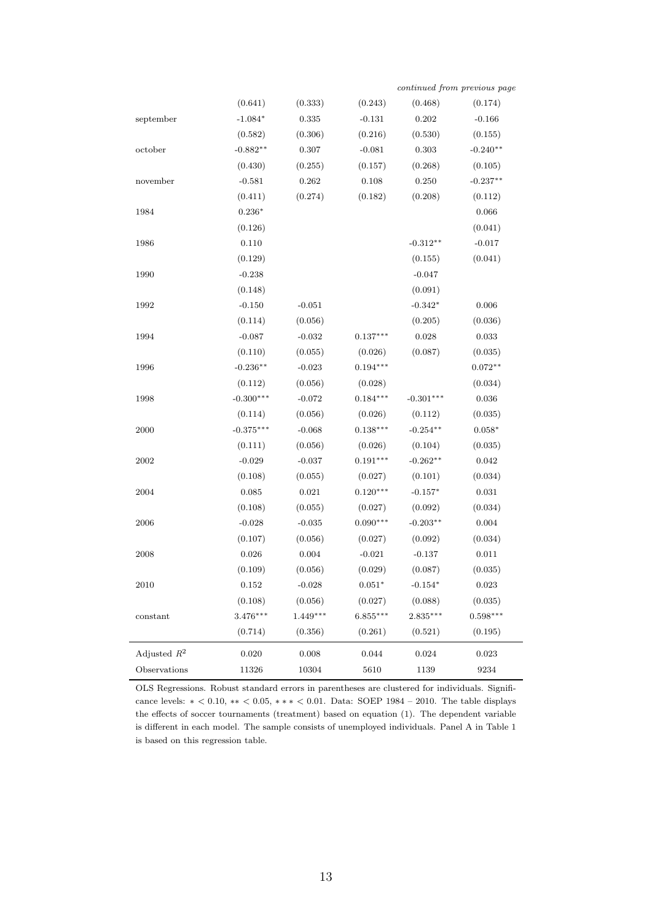|                         | (0.641)     | (0.333)     | (0.243)     | (0.468)     | (0.174)        |
|-------------------------|-------------|-------------|-------------|-------------|----------------|
| september               | $-1.084*$   | $\,0.335\,$ | $-0.131$    | $\rm 0.202$ | $-0.166$       |
|                         | (0.582)     | (0.306)     | (0.216)     | (0.530)     | (0.155)        |
| october                 | $-0.882**$  | $0.307\,$   | $-0.081$    | $\rm 0.303$ | $-0.240**$     |
|                         | (0.430)     | (0.255)     | (0.157)     | (0.268)     | (0.105)        |
| november                | $-0.581$    | 0.262       | $0.108\,$   | $0.250\,$   | $-0.237**$     |
|                         | (0.411)     | (0.274)     | (0.182)     | (0.208)     | (0.112)        |
| 1984                    | $0.236*$    |             |             |             | 0.066          |
|                         | (0.126)     |             |             |             | (0.041)        |
| 1986                    | 0.110       |             |             | $-0.312**$  | $-0.017$       |
|                         | (0.129)     |             |             | (0.155)     | (0.041)        |
| 1990                    | $-0.238$    |             |             | $-0.047$    |                |
|                         | (0.148)     |             |             | (0.091)     |                |
| 1992                    | $-0.150$    | $-0.051$    |             | $-0.342*$   | 0.006          |
|                         | (0.114)     | (0.056)     |             | (0.205)     | (0.036)        |
| 1994                    | $-0.087$    | $-0.032$    | $0.137***$  | $\,0.028\,$ | 0.033          |
|                         | (0.110)     | (0.055)     | (0.026)     | (0.087)     | (0.035)        |
| 1996                    | $-0.236**$  | $-0.023$    | $0.194***$  |             | $0.072**$      |
|                         | (0.112)     | (0.056)     | (0.028)     |             | (0.034)        |
| 1998                    | $-0.300***$ | $-0.072$    | $0.184***$  | $-0.301***$ | $\,0.036\,$    |
|                         | (0.114)     | (0.056)     | (0.026)     | (0.112)     | (0.035)        |
| 2000                    | $-0.375***$ | $-0.068$    | $0.138***$  | $-0.254**$  | $0.058^{\ast}$ |
|                         | (0.111)     | (0.056)     | (0.026)     | (0.104)     | (0.035)        |
| 2002                    | $-0.029$    | $-0.037$    | $0.191***$  | $-0.262**$  | $\,0.042\,$    |
|                         | (0.108)     | (0.055)     | (0.027)     | (0.101)     | (0.034)        |
| 2004                    | 0.085       | $\,0.021\,$ | $0.120***$  | $-0.157*$   | 0.031          |
|                         | (0.108)     | (0.055)     | (0.027)     | (0.092)     | (0.034)        |
| 2006                    | $-0.028$    | $-0.035$    | $0.090***$  | $-0.203**$  | $0.004\,$      |
|                         | (0.107)     | (0.056)     | (0.027)     | (0.092)     | (0.034)        |
| 2008                    | 0.026       | 0.004       | $-0.021$    | $-0.137$    | 0.011          |
|                         | (0.109)     | (0.056)     | (0.029)     | (0.087)     | (0.035)        |
| 2010                    | 0.152       | $-0.028$    | $0.051*$    | $-0.154*$   | 0.023          |
|                         | (0.108)     | (0.056)     | (0.027)     | (0.088)     | (0.035)        |
| constant                | $3.476***$  | $1.449***$  | $6.855***$  | $2.835***$  | $0.598***$     |
|                         | (0.714)     | (0.356)     | (0.261)     | (0.521)     | (0.195)        |
| Adjusted $\mathbb{R}^2$ | 0.020       | 0.008       | $\,0.044\,$ | 0.024       | 0.023          |
| Observations            | 11326       | 10304       | 5610        | 1139        | 9234           |

continued from previous page

OLS Regressions. Robust standard errors in parentheses are clustered for individuals. Significance levels:  $* < 0.10, ** < 0.05, *** < 0.01$ . Data: SOEP 1984 – 2010. The table displays the effects of soccer tournaments (treatment) based on equation (1). The dependent variable is different in each model. The sample consists of unemployed individuals. Panel A in Table 1 is based on this regression table.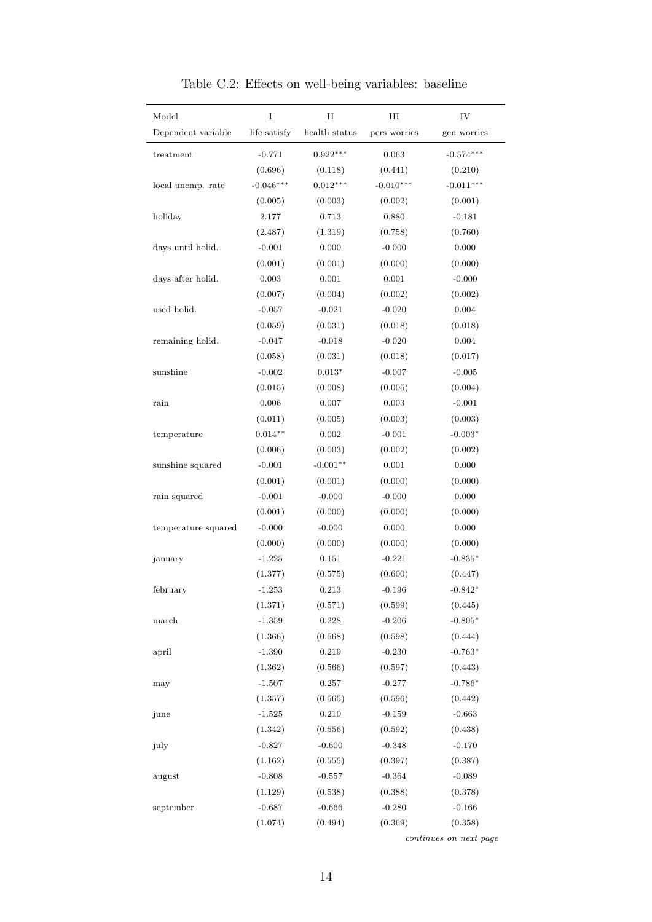| Model               | $\rm I$      | $\rm II$      | III          | IV          |
|---------------------|--------------|---------------|--------------|-------------|
| Dependent variable  | life satisfy | health status | pers worries | gen worries |
| treatment           | $-0.771$     | $0.922***$    | 0.063        | $-0.574***$ |
|                     | (0.696)      | (0.118)       | (0.441)      | (0.210)     |
| local unemp. rate   | $-0.046***$  | $0.012***$    | $-0.010***$  | $-0.011***$ |
|                     | (0.005)      | (0.003)       | (0.002)      | (0.001)     |
| holiday             | 2.177        | 0.713         | 0.880        | $-0.181$    |
|                     | (2.487)      | (1.319)       | (0.758)      | (0.760)     |
| days until holid.   | $-0.001$     | 0.000         | $-0.000$     | 0.000       |
|                     | (0.001)      | (0.001)       | (0.000)      | (0.000)     |
| days after holid.   | 0.003        | 0.001         | 0.001        | $-0.000$    |
|                     | (0.007)      | (0.004)       | (0.002)      | (0.002)     |
| used holid.         | $-0.057$     | $-0.021$      | $-0.020$     | 0.004       |
|                     | (0.059)      | (0.031)       | (0.018)      | (0.018)     |
| remaining holid.    | $-0.047$     | $-0.018$      | $-0.020$     | 0.004       |
|                     | (0.058)      | (0.031)       | (0.018)      | (0.017)     |
| sunshine            | $-0.002$     | $0.013*$      | $-0.007$     | $-0.005$    |
|                     | (0.015)      | (0.008)       | (0.005)      | (0.004)     |
| rain                | 0.006        | 0.007         | 0.003        | $-0.001$    |
|                     | (0.011)      | (0.005)       | (0.003)      | (0.003)     |
| temperature         | $0.014**$    | 0.002         | $-0.001$     | $-0.003*$   |
|                     | (0.006)      | (0.003)       | (0.002)      | (0.002)     |
| sunshine squared    | $-0.001$     | $-0.001**$    | 0.001        | 0.000       |
|                     | (0.001)      | (0.001)       | (0.000)      | (0.000)     |
| rain squared        | $-0.001$     | $-0.000$      | $-0.000$     | 0.000       |
|                     | (0.001)      | (0.000)       | (0.000)      | (0.000)     |
| temperature squared | $-0.000$     | $-0.000$      | 0.000        | 0.000       |
|                     | (0.000)      | (0.000)       | (0.000)      | (0.000)     |
| january             | $-1.225$     | 0.151         | $-0.221$     | $-0.835*$   |
|                     | (1.377)      | (0.575)       | (0.600)      | (0.447)     |
| february            | $-1.253$     | $\rm 0.213$   | $-0.196$     | $-0.842*$   |
|                     | (1.371)      | (0.571)       | (0.599)      | (0.445)     |
| march               | $-1.359$     | 0.228         | $-0.206$     | $-0.805*$   |
|                     | (1.366)      | (0.568)       | (0.598)      | (0.444)     |
| april               | $-1.390$     | 0.219         | $-0.230$     | $-0.763*$   |
|                     | (1.362)      | (0.566)       | (0.597)      | (0.443)     |
| may                 | $-1.507$     | $0.257\,$     | $-0.277$     | $-0.786*$   |
|                     | (1.357)      | (0.565)       | (0.596)      | (0.442)     |
| june                | $-1.525$     | 0.210         | $-0.159$     | $-0.663$    |
|                     | (1.342)      | (0.556)       | (0.592)      | (0.438)     |
| july                | $-0.827$     | $-0.600$      | $-0.348$     | $-0.170$    |
|                     | (1.162)      | (0.555)       | (0.397)      | (0.387)     |
| august              | $-0.808$     | $-0.557$      | $-0.364$     | $-0.089$    |
|                     | (1.129)      | (0.538)       | (0.388)      | (0.378)     |
| september           | $-0.687$     | $-0.666$      | $-0.280$     | $-0.166$    |
|                     | (1.074)      | (0.494)       | (0.369)      | (0.358)     |

Table C.2: Effects on well-being variables: baseline

continues on next page